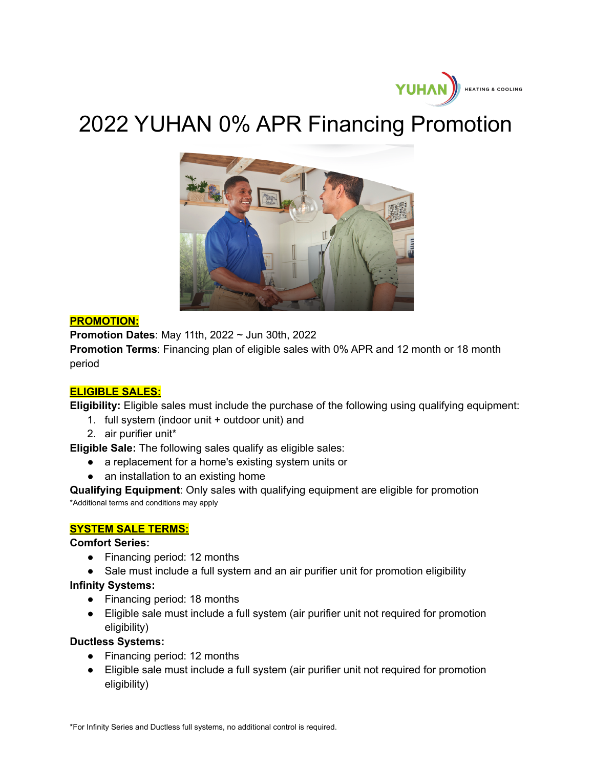

# 2022 YUHAN 0% APR Financing Promotion



#### **PROMOTION:**

**Promotion Dates**: May 11th, 2022 ~ Jun 30th, 2022

**Promotion Terms**: Financing plan of eligible sales with 0% APR and 12 month or 18 month period

#### **ELIGIBLE SALES:**

**Eligibility:** Eligible sales must include the purchase of the following using qualifying equipment:

- 1. full system (indoor unit + outdoor unit) and
- 2. air purifier unit\*

**Eligible Sale:** The following sales qualify as eligible sales:

- a replacement for a home's existing system units or
- an installation to an existing home

**Qualifying Equipment**: Only sales with qualifying equipment are eligible for promotion \*Additional terms and conditions may apply

#### **SYSTEM SALE TERMS:**

#### **Comfort Series:**

- Financing period: 12 months
- Sale must include a full system and an air purifier unit for promotion eligibility

#### **Infinity Systems:**

- Financing period: 18 months
- Eligible sale must include a full system (air purifier unit not required for promotion eligibility)

#### **Ductless Systems:**

- Financing period: 12 months
- Eligible sale must include a full system (air purifier unit not required for promotion eligibility)